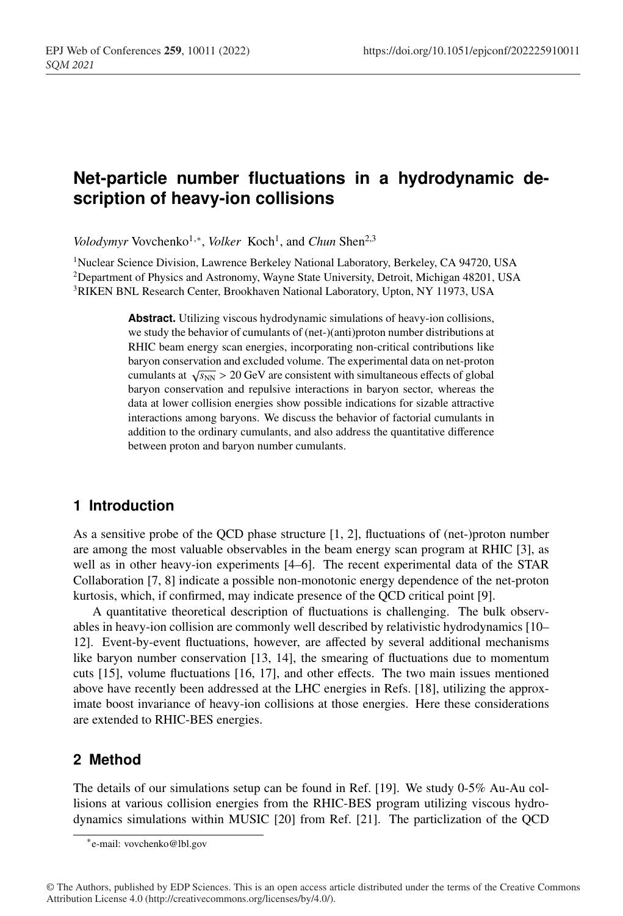# **Net-particle number fluctuations in a hydrodynamic description of heavy-ion collisions**

*Volodymyr* Vovchenko<sup>1,∗</sup>, *Volker* Koch<sup>1</sup>, and *Chun* Shen<sup>2,3</sup>

1Nuclear Science Division, Lawrence Berkeley National Laboratory, Berkeley, CA 94720, USA 2Department of Physics and Astronomy, Wayne State University, Detroit, Michigan 48201, USA 3RIKEN BNL Research Center, Brookhaven National Laboratory, Upton, NY 11973, USA

> **Abstract.** Utilizing viscous hydrodynamic simulations of heavy-ion collisions, we study the behavior of cumulants of (net-)(anti)proton number distributions at RHIC beam energy scan energies, incorporating non-critical contributions like baryon conservation and excluded volume. The experimental data on net-proton cumulants at  $\sqrt{s_{NN}} > 20$  GeV are consistent with simultaneous effects of global baryon conservation and repulsive interactions in baryon sector, whereas the data at lower collision energies show possible indications for sizable attractive interactions among baryons. We discuss the behavior of factorial cumulants in addition to the ordinary cumulants, and also address the quantitative difference between proton and baryon number cumulants.

## **1 Introduction**

As a sensitive probe of the QCD phase structure [1, 2], fluctuations of (net-)proton number are among the most valuable observables in the beam energy scan program at RHIC [3], as well as in other heavy-ion experiments [4–6]. The recent experimental data of the STAR Collaboration [7, 8] indicate a possible non-monotonic energy dependence of the net-proton kurtosis, which, if confirmed, may indicate presence of the QCD critical point [9].

A quantitative theoretical description of fluctuations is challenging. The bulk observables in heavy-ion collision are commonly well described by relativistic hydrodynamics [10– 12]. Event-by-event fluctuations, however, are affected by several additional mechanisms like baryon number conservation [13, 14], the smearing of fluctuations due to momentum cuts [15], volume fluctuations [16, 17], and other effects. The two main issues mentioned above have recently been addressed at the LHC energies in Refs. [18], utilizing the approximate boost invariance of heavy-ion collisions at those energies. Here these considerations are extended to RHIC-BES energies.

## **2 Method**

The details of our simulations setup can be found in Ref. [19]. We study 0-5% Au-Au collisions at various collision energies from the RHIC-BES program utilizing viscous hydrodynamics simulations within MUSIC [20] from Ref. [21]. The particlization of the QCD

<sup>∗</sup>e-mail: vovchenko@lbl.gov

<sup>©</sup> The Authors, published by EDP Sciences. This is an open access article distributed under the terms of the Creative Commons Attribution License 4.0 (http://creativecommons.org/licenses/by/4.0/).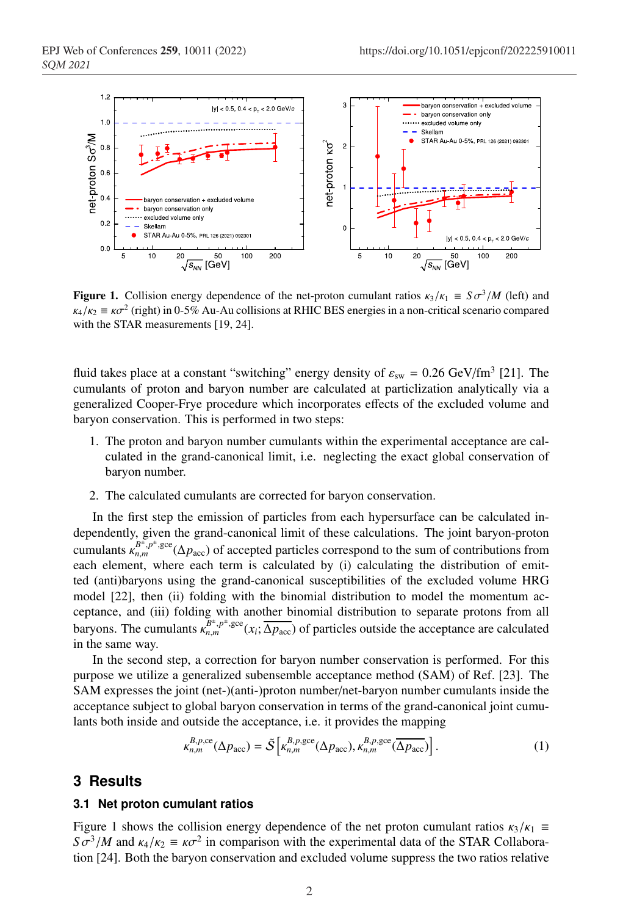

**Figure 1.** Collision energy dependence of the net-proton cumulant ratios  $\kappa_3/\kappa_1 \equiv S \sigma^3/M$  (left) and  $\kappa_4/\kappa_2 \equiv \kappa \sigma^2$  (right) in 0-5% Au-Au collisions at RHIC BES energies in a non-critical scenario compared with the STAR measurements [19, 24].

fluid takes place at a constant "switching" energy density of  $\varepsilon_{sw} = 0.26 \text{ GeV/fm}^3$  [21]. The cumulants of proton and baryon number are calculated at particlization analytically via a generalized Cooper-Frye procedure which incorporates effects of the excluded volume and baryon conservation. This is performed in two steps:

- 1. The proton and baryon number cumulants within the experimental acceptance are calculated in the grand-canonical limit, i.e. neglecting the exact global conservation of baryon number.
- 2. The calculated cumulants are corrected for baryon conservation.

In the first step the emission of particles from each hypersurface can be calculated independently, given the grand-canonical limit of these calculations. The joint baryon-proton cumulants  $\kappa_{n,m}^{B^{\pm},p^{\pm},\text{gce}}(\Delta p_{\text{acc}})$  of accepted particles correspond to the sum of contributions from each element, where each term is calculated by (i) calculating the distribution of emitted (anti)baryons using the grand-canonical susceptibilities of the excluded volume HRG model [22], then (ii) folding with the binomial distribution to model the momentum acceptance, and (iii) folding with another binomial distribution to separate protons from all baryons. The cumulants  $\kappa_{n,m}^{B^{\pm},p^{\pm},\text{gce}}(x_i;\overline{\Delta p_{\text{acc}}})$  of particles outside the acceptance are calculated in the same way.

In the second step, a correction for baryon number conservation is performed. For this purpose we utilize a generalized subensemble acceptance method (SAM) of Ref. [23]. The SAM expresses the joint (net-)(anti-)proton number/net-baryon number cumulants inside the acceptance subject to global baryon conservation in terms of the grand-canonical joint cumulants both inside and outside the acceptance, i.e. it provides the mapping

$$
\kappa_{n,m}^{B,p,\text{ce}}(\Delta p_{\text{acc}}) = \tilde{\mathcal{S}}\left[\kappa_{n,m}^{B,p,\text{gec}}(\Delta p_{\text{acc}}), \kappa_{n,m}^{B,p,\text{gec}}(\overline{\Delta p_{\text{acc}}})\right].\tag{1}
$$

### **3 Results**

#### **3.1 Net proton cumulant ratios**

Figure 1 shows the collision energy dependence of the net proton cumulant ratios  $\kappa_3/\kappa_1 \equiv$  $S\sigma^3/M$  and  $\kappa_4/\kappa_2 \equiv \kappa \sigma^2$  in comparison with the experimental data of the STAR Collaboration [24]. Both the baryon conservation and excluded volume suppress the two ratios relative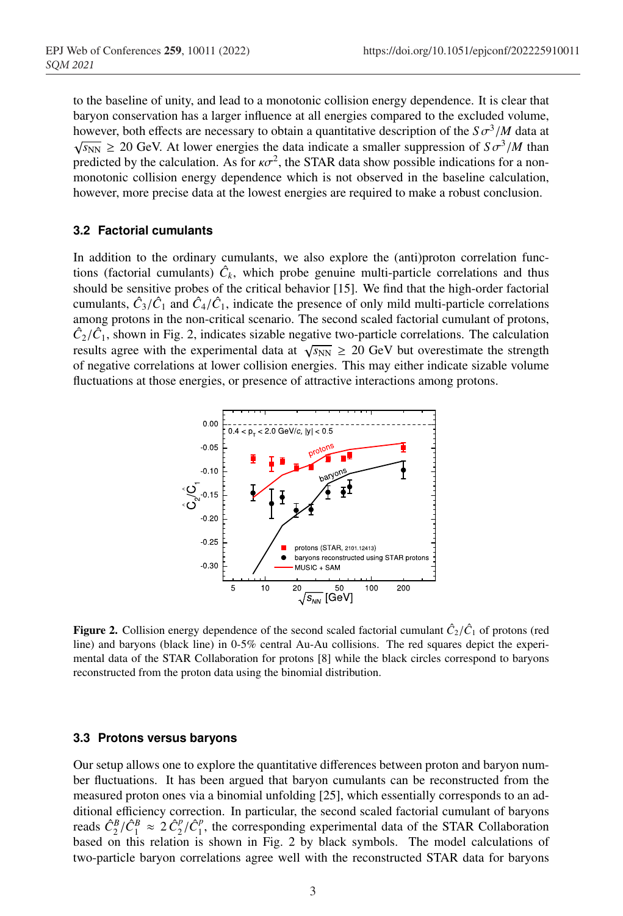to the baseline of unity, and lead to a monotonic collision energy dependence. It is clear that baryon conservation has a larger influence at all energies compared to the excluded volume, however, both effects are necessary to obtain a quantitative description of the  $S\sigma^3/M$  data at  $\sqrt{s_{NN}} \geq 20$  GeV. At lower energies the data indicate a smaller suppression of  $S\sigma^3/M$  than predicted by the calculation. As for  $\kappa \sigma^2$ , the STAR data show possible indications for a nonmonotonic collision energy dependence which is not observed in the baseline calculation, however, more precise data at the lowest energies are required to make a robust conclusion.

#### **3.2 Factorial cumulants**

In addition to the ordinary cumulants, we also explore the (anti)proton correlation functions (factorial cumulants)  $\hat{C}_k$ , which probe genuine multi-particle correlations and thus should be sensitive probes of the critical behavior [15]. We find that the high-order factorial cumulants,  $\hat{C}_3/\hat{C}_1$  and  $\hat{C}_4/\hat{C}_1$ , indicate the presence of only mild multi-particle correlations among protons in the non-critical scenario. The second scaled factorial cumulant of protons,  $\hat{C}_2/\hat{C}_1$ , shown in Fig. 2, indicates sizable negative two-particle correlations. The calculation results agree with the experimental data at  $\sqrt{s_{NN}} \geq 20$  GeV but overestimate the strength of negative correlations at lower collision energies. This may either indicate sizable volume fluctuations at those energies, or presence of attractive interactions among protons.



**Figure 2.** Collision energy dependence of the second scaled factorial cumulant  $\hat{C}_2/\hat{C}_1$  of protons (red line) and baryons (black line) in 0-5% central Au-Au collisions. The red squares depict the experimental data of the STAR Collaboration for protons [8] while the black circles correspond to baryons reconstructed from the proton data using the binomial distribution.

#### **3.3 Protons versus baryons**

Our setup allows one to explore the quantitative differences between proton and baryon number fluctuations. It has been argued that baryon cumulants can be reconstructed from the measured proton ones via a binomial unfolding [25], which essentially corresponds to an additional efficiency correction. In particular, the second scaled factorial cumulant of baryons reads  $\hat{C}_2^B/\hat{C}_1^B \approx 2 \hat{C}_2^P/\hat{C}_1^P$ , the corresponding experimental data of the STAR Collaboration based on this relation is shown in Fig. 2 by black symbols. The model calculations of two-particle baryon correlations agree well with the reconstructed STAR data for baryons